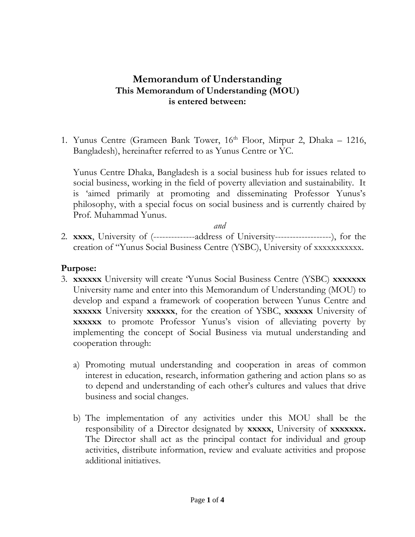## **Memorandum of Understanding This Memorandum of Understanding (MOU) is entered between:**

1. Yunus Centre (Grameen Bank Tower,  $16<sup>th</sup>$  Floor, Mirpur 2, Dhaka – 1216, Bangladesh), hereinafter referred to as Yunus Centre or YC.

Yunus Centre Dhaka, Bangladesh is a social business hub for issues related to social business, working in the field of poverty alleviation and sustainability. It is 'aimed primarily at promoting and disseminating Professor Yunus's philosophy, with a special focus on social business and is currently chaired by Prof. Muhammad Yunus.

*and*

2. **xxxx**, University of (--------------address of University-------------------), for the creation of "Yunus Social Business Centre (YSBC), University of xxxxxxxxxxx.

## **Purpose:**

- 3. **xxxxxx** University will create 'Yunus Social Business Centre (YSBC) **xxxxxxx** University name and enter into this Memorandum of Understanding (MOU) to develop and expand a framework of cooperation between Yunus Centre and **xxxxxx** University **xxxxxx**, for the creation of YSBC, **xxxxxx** University of **xxxxx** to promote Professor Yunus's vision of alleviating poverty by implementing the concept of Social Business via mutual understanding and cooperation through:
	- a) Promoting mutual understanding and cooperation in areas of common interest in education, research, information gathering and action plans so as to depend and understanding of each other's cultures and values that drive business and social changes.
	- b) The implementation of any activities under this MOU shall be the responsibility of a Director designated by **xxxxx**, University of **xxxxxxx.** The Director shall act as the principal contact for individual and group activities, distribute information, review and evaluate activities and propose additional initiatives.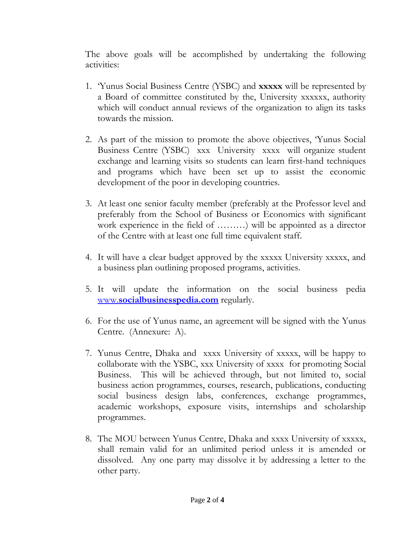The above goals will be accomplished by undertaking the following activities:

- 1. 'Yunus Social Business Centre (YSBC) and **xxxxx** will be represented by a Board of committee constituted by the, University xxxxxx, authority which will conduct annual reviews of the organization to align its tasks towards the mission.
- 2. As part of the mission to promote the above objectives, 'Yunus Social Business Centre (YSBC) xxx University xxxx will organize student exchange and learning visits so students can learn first-hand techniques and programs which have been set up to assist the economic development of the poor in developing countries.
- 3. At least one senior faculty member (preferably at the Professor level and preferably from the School of Business or Economics with significant work experience in the field of ………) will be appointed as a director of the Centre with at least one full time equivalent staff.
- 4. It will have a clear budget approved by the xxxxx University xxxxx, and a business plan outlining proposed programs, activities.
- 5. It will update the information on the social business pedia www.**[socialbusinesspedia.com](http://www.socialbusinesspedia.com/)** regularly.
- 6. For the use of Yunus name, an agreement will be signed with the Yunus Centre. (Annexure: A).
- 7. Yunus Centre, Dhaka and xxxx University of xxxxx, will be happy to collaborate with the YSBC, xxx University of xxxx for promoting Social Business. This will be achieved through, but not limited to, social business action programmes, courses, research, publications, conducting social business design labs, conferences, exchange programmes, academic workshops, exposure visits, internships and scholarship programmes.
- 8. The MOU between Yunus Centre, Dhaka and xxxx University of xxxxx, shall remain valid for an unlimited period unless it is amended or dissolved. Any one party may dissolve it by addressing a letter to the other party.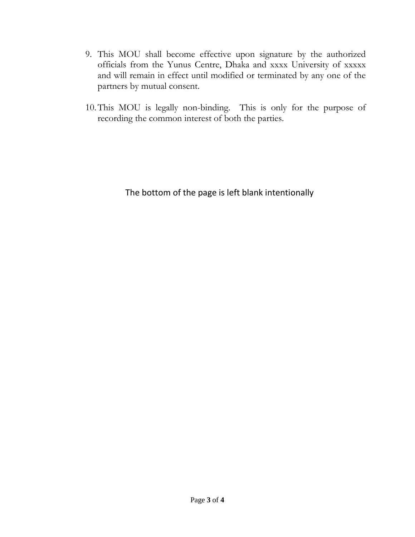- 9. This MOU shall become effective upon signature by the authorized officials from the Yunus Centre, Dhaka and xxxx University of xxxxx and will remain in effect until modified or terminated by any one of the partners by mutual consent.
- 10.This MOU is legally non-binding. This is only for the purpose of recording the common interest of both the parties.

The bottom of the page is left blank intentionally